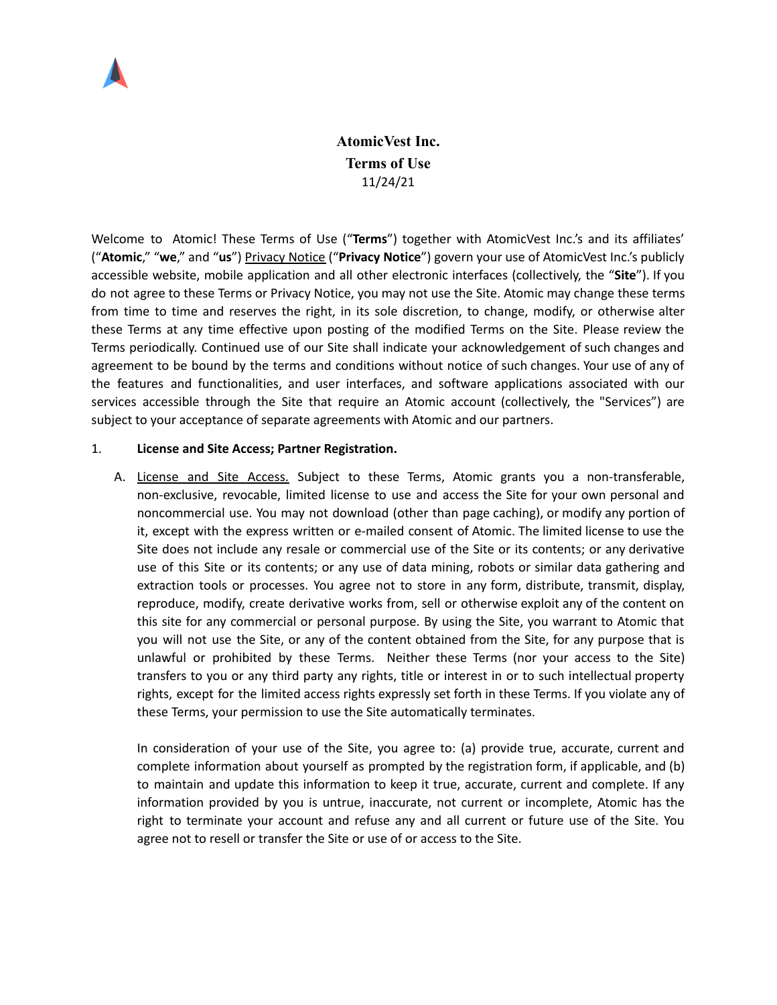

# **AtomicVest Inc. Terms of Use** 11/24/21

Welcome to Atomic! These Terms of Use ("**Terms**") together with AtomicVest Inc.'s and its affiliates' ("**Atomic**," "**we**," and "**us**") [Privacy](https://www.atomicvest.com/privacy-notice/) Notice ("**Privacy Notice**") govern your use of AtomicVest Inc.'s publicly accessible website, mobile application and all other electronic interfaces (collectively, the "**Site**"). If you do not agree to these Terms or Privacy Notice, you may not use the Site. Atomic may change these terms from time to time and reserves the right, in its sole discretion, to change, modify, or otherwise alter these Terms at any time effective upon posting of the modified Terms on the Site. Please review the Terms periodically. Continued use of our Site shall indicate your acknowledgement of such changes and agreement to be bound by the terms and conditions without notice of such changes. Your use of any of the features and functionalities, and user interfaces, and software applications associated with our services accessible through the Site that require an Atomic account (collectively, the "Services") are subject to your acceptance of separate agreements with Atomic and our partners.

### 1. **License and Site Access; Partner Registration.**

A. License and Site Access. Subject to these Terms, Atomic grants you a non-transferable, non-exclusive, revocable, limited license to use and access the Site for your own personal and noncommercial use. You may not download (other than page caching), or modify any portion of it, except with the express written or e-mailed consent of Atomic. The limited license to use the Site does not include any resale or commercial use of the Site or its contents; or any derivative use of this Site or its contents; or any use of data mining, robots or similar data gathering and extraction tools or processes. You agree not to store in any form, distribute, transmit, display, reproduce, modify, create derivative works from, sell or otherwise exploit any of the content on this site for any commercial or personal purpose. By using the Site, you warrant to Atomic that you will not use the Site, or any of the content obtained from the Site, for any purpose that is unlawful or prohibited by these Terms. Neither these Terms (nor your access to the Site) transfers to you or any third party any rights, title or interest in or to such intellectual property rights, except for the limited access rights expressly set forth in these Terms. If you violate any of these Terms, your permission to use the Site automatically terminates.

In consideration of your use of the Site, you agree to: (a) provide true, accurate, current and complete information about yourself as prompted by the registration form, if applicable, and (b) to maintain and update this information to keep it true, accurate, current and complete. If any information provided by you is untrue, inaccurate, not current or incomplete, Atomic has the right to terminate your account and refuse any and all current or future use of the Site. You agree not to resell or transfer the Site or use of or access to the Site.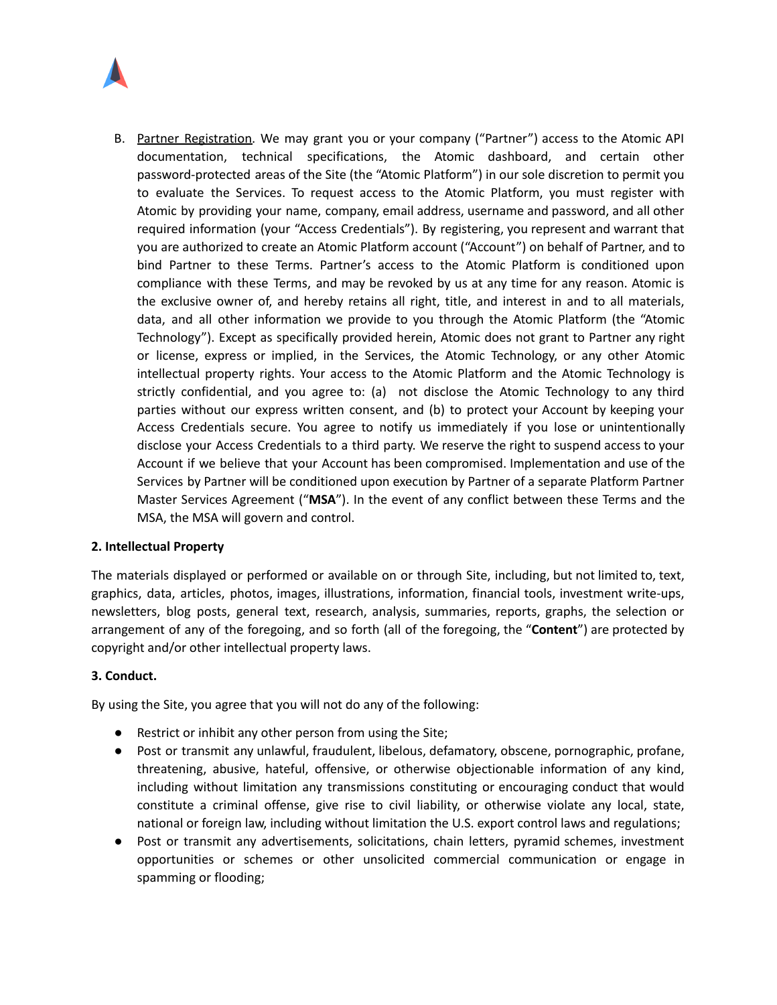

B. Partner Registration. We may grant you or your company ("Partner") access to the Atomic API documentation, technical specifications, the Atomic dashboard, and certain other password-protected areas of the Site (the "Atomic Platform") in our sole discretion to permit you to evaluate the Services. To request access to the Atomic Platform, you must register with Atomic by providing your name, company, email address, username and password, and all other required information (your "Access Credentials"). By registering, you represent and warrant that you are authorized to create an Atomic Platform account ("Account") on behalf of Partner, and to bind Partner to these Terms. Partner's access to the Atomic Platform is conditioned upon compliance with these Terms, and may be revoked by us at any time for any reason. Atomic is the exclusive owner of, and hereby retains all right, title, and interest in and to all materials, data, and all other information we provide to you through the Atomic Platform (the "Atomic Technology"). Except as specifically provided herein, Atomic does not grant to Partner any right or license, express or implied, in the Services, the Atomic Technology, or any other Atomic intellectual property rights. Your access to the Atomic Platform and the Atomic Technology is strictly confidential, and you agree to: (a) not disclose the Atomic Technology to any third parties without our express written consent, and (b) to protect your Account by keeping your Access Credentials secure. You agree to notify us immediately if you lose or unintentionally disclose your Access Credentials to a third party. We reserve the right to suspend access to your Account if we believe that your Account has been compromised. Implementation and use of the Services by Partner will be conditioned upon execution by Partner of a separate Platform Partner Master Services Agreement ("**MSA**"). In the event of any conflict between these Terms and the MSA, the MSA will govern and control.

# **2. Intellectual Property**

The materials displayed or performed or available on or through Site, including, but not limited to, text, graphics, data, articles, photos, images, illustrations, information, financial tools, investment write-ups, newsletters, blog posts, general text, research, analysis, summaries, reports, graphs, the selection or arrangement of any of the foregoing, and so forth (all of the foregoing, the "**Content**") are protected by copyright and/or other intellectual property laws.

#### **3. Conduct.**

By using the Site, you agree that you will not do any of the following:

- Restrict or inhibit any other person from using the Site;
- Post or transmit any unlawful, fraudulent, libelous, defamatory, obscene, pornographic, profane, threatening, abusive, hateful, offensive, or otherwise objectionable information of any kind, including without limitation any transmissions constituting or encouraging conduct that would constitute a criminal offense, give rise to civil liability, or otherwise violate any local, state, national or foreign law, including without limitation the U.S. export control laws and regulations;
- Post or transmit any advertisements, solicitations, chain letters, pyramid schemes, investment opportunities or schemes or other unsolicited commercial communication or engage in spamming or flooding;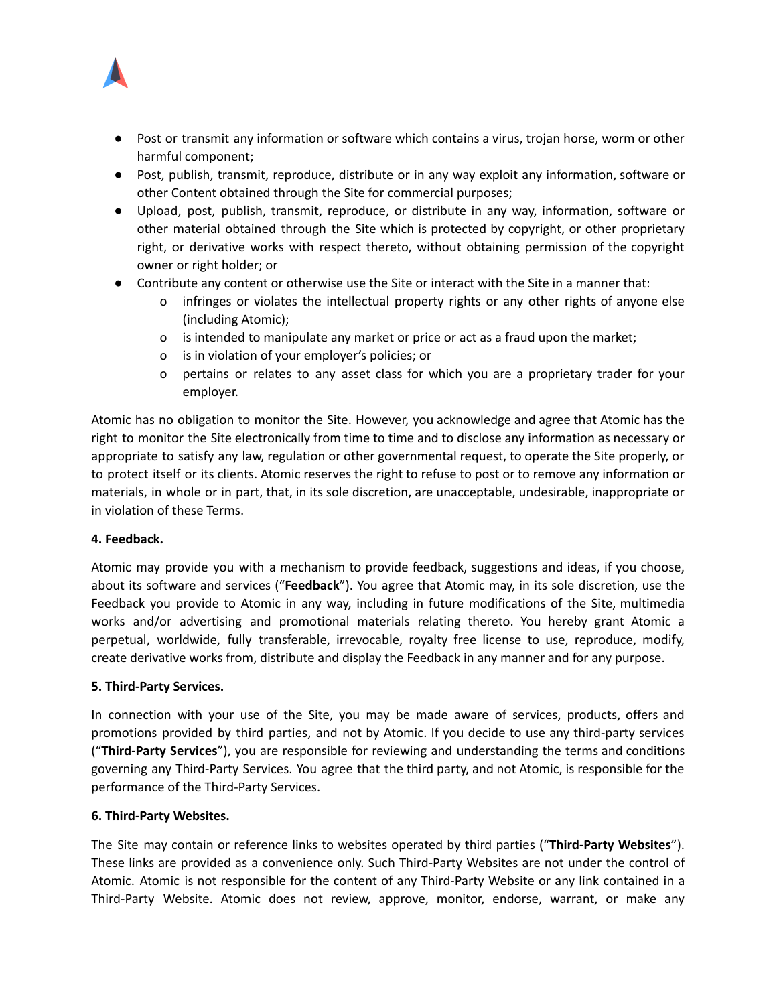

- Post or transmit any information or software which contains a virus, trojan horse, worm or other harmful component;
- Post, publish, transmit, reproduce, distribute or in any way exploit any information, software or other Content obtained through the Site for commercial purposes;
- Upload, post, publish, transmit, reproduce, or distribute in any way, information, software or other material obtained through the Site which is protected by copyright, or other proprietary right, or derivative works with respect thereto, without obtaining permission of the copyright owner or right holder; or
- Contribute any content or otherwise use the Site or interact with the Site in a manner that:
	- o infringes or violates the intellectual property rights or any other rights of anyone else (including Atomic);
	- o is intended to manipulate any market or price or act as a fraud upon the market;
	- o is in violation of your employer's policies; or
	- o pertains or relates to any asset class for which you are a proprietary trader for your employer.

Atomic has no obligation to monitor the Site. However, you acknowledge and agree that Atomic has the right to monitor the Site electronically from time to time and to disclose any information as necessary or appropriate to satisfy any law, regulation or other governmental request, to operate the Site properly, or to protect itself or its clients. Atomic reserves the right to refuse to post or to remove any information or materials, in whole or in part, that, in its sole discretion, are unacceptable, undesirable, inappropriate or in violation of these Terms.

# **4. Feedback.**

Atomic may provide you with a mechanism to provide feedback, suggestions and ideas, if you choose, about its software and services ("**Feedback**"). You agree that Atomic may, in its sole discretion, use the Feedback you provide to Atomic in any way, including in future modifications of the Site, multimedia works and/or advertising and promotional materials relating thereto. You hereby grant Atomic a perpetual, worldwide, fully transferable, irrevocable, royalty free license to use, reproduce, modify, create derivative works from, distribute and display the Feedback in any manner and for any purpose.

#### **5. Third-Party Services.**

In connection with your use of the Site, you may be made aware of services, products, offers and promotions provided by third parties, and not by Atomic. If you decide to use any third-party services ("**Third-Party Services**"), you are responsible for reviewing and understanding the terms and conditions governing any Third-Party Services. You agree that the third party, and not Atomic, is responsible for the performance of the Third-Party Services.

# **6. Third-Party Websites.**

The Site may contain or reference links to websites operated by third parties ("**Third-Party Websites**"). These links are provided as a convenience only. Such Third-Party Websites are not under the control of Atomic. Atomic is not responsible for the content of any Third-Party Website or any link contained in a Third-Party Website. Atomic does not review, approve, monitor, endorse, warrant, or make any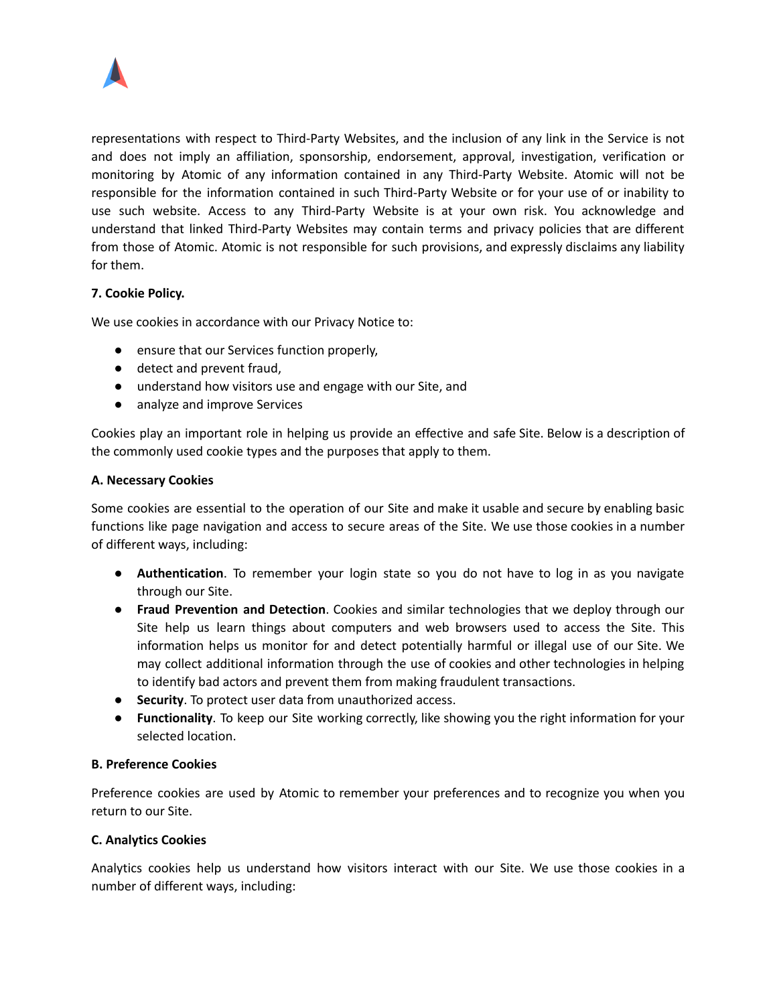

representations with respect to Third-Party Websites, and the inclusion of any link in the Service is not and does not imply an affiliation, sponsorship, endorsement, approval, investigation, verification or monitoring by Atomic of any information contained in any Third-Party Website. Atomic will not be responsible for the information contained in such Third-Party Website or for your use of or inability to use such website. Access to any Third-Party Website is at your own risk. You acknowledge and understand that linked Third-Party Websites may contain terms and privacy policies that are different from those of Atomic. Atomic is not responsible for such provisions, and expressly disclaims any liability for them.

# **7. Cookie Policy.**

We use cookies in accordance with our Privacy Notice to:

- ensure that our Services function properly,
- detect and prevent fraud,
- understand how visitors use and engage with our Site, and
- analyze and improve Services

Cookies play an important role in helping us provide an effective and safe Site. Below is a description of the commonly used cookie types and the purposes that apply to them.

### **A. Necessary Cookies**

Some cookies are essential to the operation of our Site and make it usable and secure by enabling basic functions like page navigation and access to secure areas of the Site. We use those cookies in a number of different ways, including:

- **Authentication**. To remember your login state so you do not have to log in as you navigate through our Site.
- **Fraud Prevention and Detection**. Cookies and similar technologies that we deploy through our Site help us learn things about computers and web browsers used to access the Site. This information helps us monitor for and detect potentially harmful or illegal use of our Site. We may collect additional information through the use of cookies and other technologies in helping to identify bad actors and prevent them from making fraudulent transactions.
- **Security**. To protect user data from unauthorized access.
- **Functionality**. To keep our Site working correctly, like showing you the right information for your selected location.

# **B. Preference Cookies**

Preference cookies are used by Atomic to remember your preferences and to recognize you when you return to our Site.

# **C. Analytics Cookies**

Analytics cookies help us understand how visitors interact with our Site. We use those cookies in a number of different ways, including: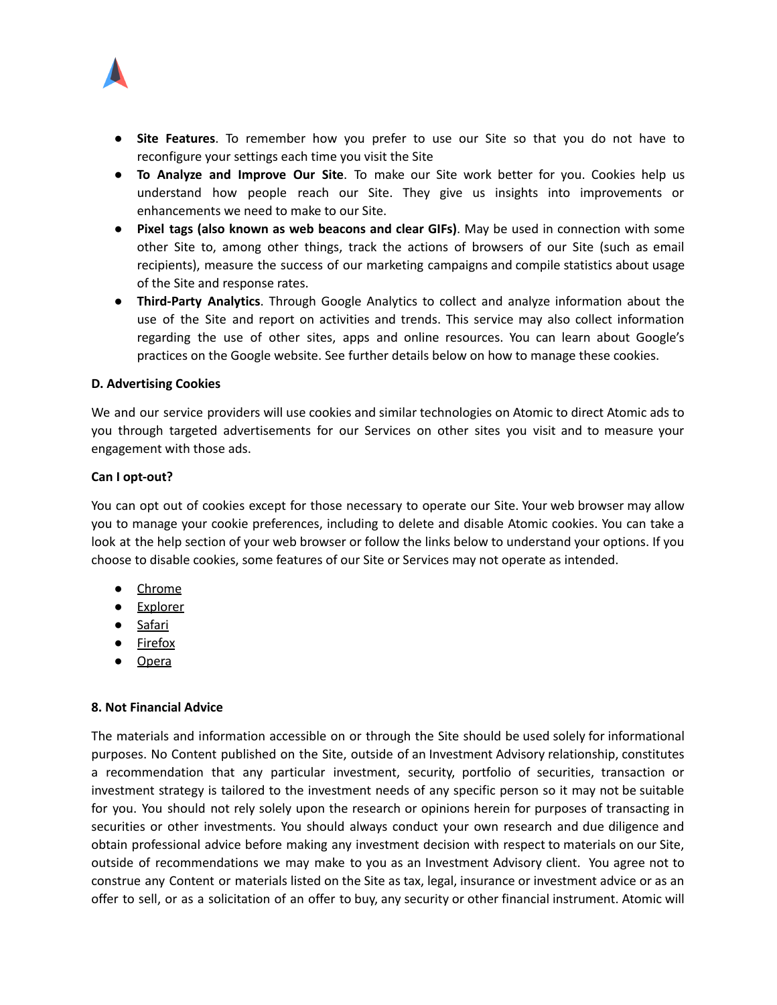

- **Site Features**. To remember how you prefer to use our Site so that you do not have to reconfigure your settings each time you visit the Site
- **To Analyze and Improve Our Site**. To make our Site work better for you. Cookies help us understand how people reach our Site. They give us insights into improvements or enhancements we need to make to our Site.
- **Pixel tags (also known as web beacons and clear GIFs)**. May be used in connection with some other Site to, among other things, track the actions of browsers of our Site (such as email recipients), measure the success of our marketing campaigns and compile statistics about usage of the Site and response rates.
- **Third-Party Analytics**. Through Google Analytics to collect and analyze information about the use of the Site and report on activities and trends. This service may also collect information regarding the use of other sites, apps and online resources. You can learn about Google's practices on the Google website. See further details below on how to manage these cookies.

### **D. Advertising Cookies**

We and our service providers will use cookies and similar technologies on Atomic to direct Atomic ads to you through targeted advertisements for our Services on other sites you visit and to measure your engagement with those ads.

### **Can I opt-out?**

You can opt out of cookies except for those necessary to operate our Site. Your web browser may allow you to manage your cookie preferences, including to delete and disable Atomic cookies. You can take a look at the help section of your web browser or follow the links below to understand your options. If you choose to disable cookies, some features of our Site or Services may not operate as intended.

- [Chrome](https://support.google.com/chrome/answer/95647?hl=en)
- [Explorer](https://support.microsoft.com/en-us/help/17442/windows-internet-explorer-delete-manage-cookies)
- [Safari](https://support.apple.com/guide/safari/manage-cookies-and-website-data-sfri11471/mac)
- [Firefox](https://support.mozilla.org/en-US/kb/cookies-information-websites-store-on-your-computer)
- [Opera](https://help.opera.com/en/latest/web-preferences/#cookies)

# **8. Not Financial Advice**

The materials and information accessible on or through the Site should be used solely for informational purposes. No Content published on the Site, outside of an Investment Advisory relationship, constitutes a recommendation that any particular investment, security, portfolio of securities, transaction or investment strategy is tailored to the investment needs of any specific person so it may not be suitable for you. You should not rely solely upon the research or opinions herein for purposes of transacting in securities or other investments. You should always conduct your own research and due diligence and obtain professional advice before making any investment decision with respect to materials on our Site, outside of recommendations we may make to you as an Investment Advisory client. You agree not to construe any Content or materials listed on the Site as tax, legal, insurance or investment advice or as an offer to sell, or as a solicitation of an offer to buy, any security or other financial instrument. Atomic will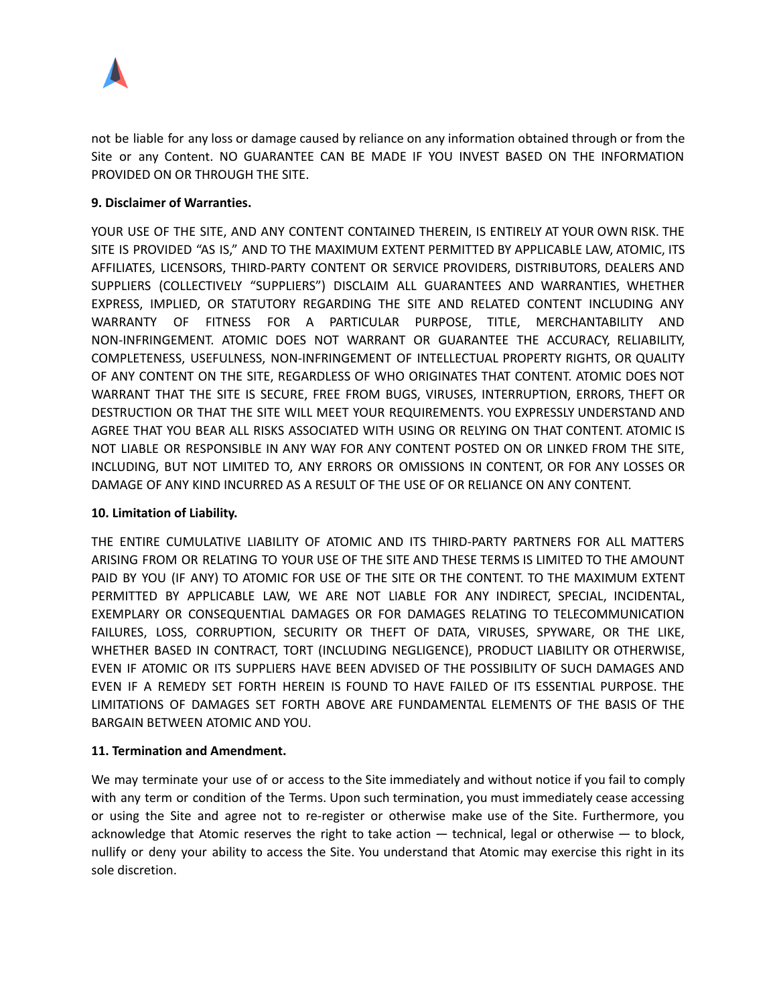

not be liable for any loss or damage caused by reliance on any information obtained through or from the Site or any Content. NO GUARANTEE CAN BE MADE IF YOU INVEST BASED ON THE INFORMATION PROVIDED ON OR THROUGH THE SITE.

# **9. Disclaimer of Warranties.**

YOUR USE OF THE SITE, AND ANY CONTENT CONTAINED THEREIN, IS ENTIRELY AT YOUR OWN RISK. THE SITE IS PROVIDED "AS IS," AND TO THE MAXIMUM EXTENT PERMITTED BY APPLICABLE LAW, ATOMIC, ITS AFFILIATES, LICENSORS, THIRD-PARTY CONTENT OR SERVICE PROVIDERS, DISTRIBUTORS, DEALERS AND SUPPLIERS (COLLECTIVELY "SUPPLIERS") DISCLAIM ALL GUARANTEES AND WARRANTIES, WHETHER EXPRESS, IMPLIED, OR STATUTORY REGARDING THE SITE AND RELATED CONTENT INCLUDING ANY WARRANTY OF FITNESS FOR A PARTICULAR PURPOSE, TITLE, MERCHANTABILITY AND NON-INFRINGEMENT. ATOMIC DOES NOT WARRANT OR GUARANTEE THE ACCURACY, RELIABILITY, COMPLETENESS, USEFULNESS, NON-INFRINGEMENT OF INTELLECTUAL PROPERTY RIGHTS, OR QUALITY OF ANY CONTENT ON THE SITE, REGARDLESS OF WHO ORIGINATES THAT CONTENT. ATOMIC DOES NOT WARRANT THAT THE SITE IS SECURE, FREE FROM BUGS, VIRUSES, INTERRUPTION, ERRORS, THEFT OR DESTRUCTION OR THAT THE SITE WILL MEET YOUR REQUIREMENTS. YOU EXPRESSLY UNDERSTAND AND AGREE THAT YOU BEAR ALL RISKS ASSOCIATED WITH USING OR RELYING ON THAT CONTENT. ATOMIC IS NOT LIABLE OR RESPONSIBLE IN ANY WAY FOR ANY CONTENT POSTED ON OR LINKED FROM THE SITE, INCLUDING, BUT NOT LIMITED TO, ANY ERRORS OR OMISSIONS IN CONTENT, OR FOR ANY LOSSES OR DAMAGE OF ANY KIND INCURRED AS A RESULT OF THE USE OF OR RELIANCE ON ANY CONTENT.

# **10. Limitation of Liability.**

THE ENTIRE CUMULATIVE LIABILITY OF ATOMIC AND ITS THIRD-PARTY PARTNERS FOR ALL MATTERS ARISING FROM OR RELATING TO YOUR USE OF THE SITE AND THESE TERMS IS LIMITED TO THE AMOUNT PAID BY YOU (IF ANY) TO ATOMIC FOR USE OF THE SITE OR THE CONTENT. TO THE MAXIMUM EXTENT PERMITTED BY APPLICABLE LAW, WE ARE NOT LIABLE FOR ANY INDIRECT, SPECIAL, INCIDENTAL, EXEMPLARY OR CONSEQUENTIAL DAMAGES OR FOR DAMAGES RELATING TO TELECOMMUNICATION FAILURES, LOSS, CORRUPTION, SECURITY OR THEFT OF DATA, VIRUSES, SPYWARE, OR THE LIKE, WHETHER BASED IN CONTRACT, TORT (INCLUDING NEGLIGENCE), PRODUCT LIABILITY OR OTHERWISE, EVEN IF ATOMIC OR ITS SUPPLIERS HAVE BEEN ADVISED OF THE POSSIBILITY OF SUCH DAMAGES AND EVEN IF A REMEDY SET FORTH HEREIN IS FOUND TO HAVE FAILED OF ITS ESSENTIAL PURPOSE. THE LIMITATIONS OF DAMAGES SET FORTH ABOVE ARE FUNDAMENTAL ELEMENTS OF THE BASIS OF THE BARGAIN BETWEEN ATOMIC AND YOU.

# **11. Termination and Amendment.**

We may terminate your use of or access to the Site immediately and without notice if you fail to comply with any term or condition of the Terms. Upon such termination, you must immediately cease accessing or using the Site and agree not to re-register or otherwise make use of the Site. Furthermore, you acknowledge that Atomic reserves the right to take action — technical, legal or otherwise — to block, nullify or deny your ability to access the Site. You understand that Atomic may exercise this right in its sole discretion.